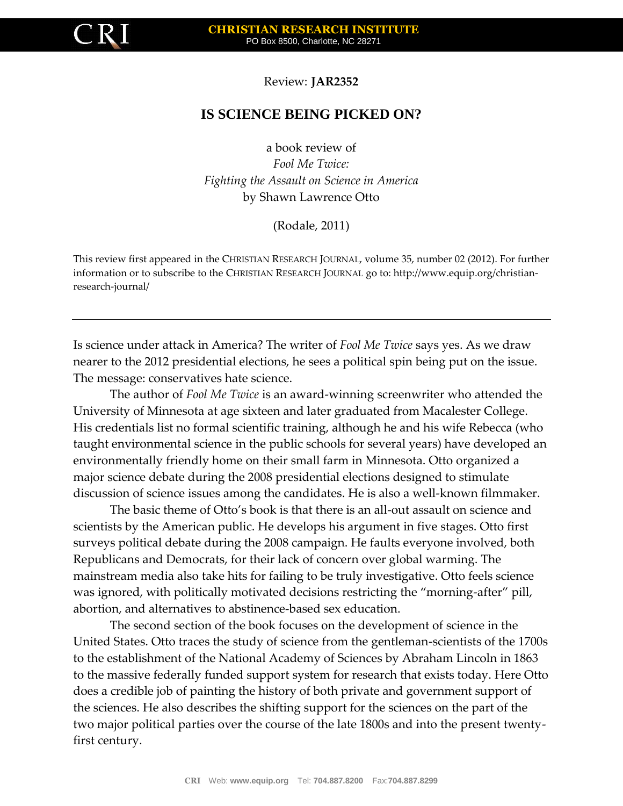

Review: **JAR2352**

## **IS SCIENCE BEING PICKED ON?**

a book review of *Fool Me Twice: Fighting the Assault on Science in America* by Shawn Lawrence Otto

(Rodale, 2011)

This review first appeared in the CHRISTIAN RESEARCH JOURNAL, volume 35, number 02 (2012). For further information or to subscribe to the CHRISTIAN RESEARCH JOURNAL go to: http://www.equip.org/christianresearch-journal/

Is science under attack in America? The writer of *Fool Me Twice* says yes. As we draw nearer to the 2012 presidential elections, he sees a political spin being put on the issue. The message: conservatives hate science.

The author of *Fool Me Twice* is an award-winning screenwriter who attended the University of Minnesota at age sixteen and later graduated from Macalester College. His credentials list no formal scientific training, although he and his wife Rebecca (who taught environmental science in the public schools for several years) have developed an environmentally friendly home on their small farm in Minnesota. Otto organized a major science debate during the 2008 presidential elections designed to stimulate discussion of science issues among the candidates. He is also a well-known filmmaker.

The basic theme of Otto's book is that there is an all-out assault on science and scientists by the American public. He develops his argument in five stages. Otto first surveys political debate during the 2008 campaign. He faults everyone involved, both Republicans and Democrats, for their lack of concern over global warming. The mainstream media also take hits for failing to be truly investigative. Otto feels science was ignored, with politically motivated decisions restricting the "morning-after" pill, abortion, and alternatives to abstinence-based sex education.

The second section of the book focuses on the development of science in the United States. Otto traces the study of science from the gentleman-scientists of the 1700s to the establishment of the National Academy of Sciences by Abraham Lincoln in 1863 to the massive federally funded support system for research that exists today. Here Otto does a credible job of painting the history of both private and government support of the sciences. He also describes the shifting support for the sciences on the part of the two major political parties over the course of the late 1800s and into the present twentyfirst century.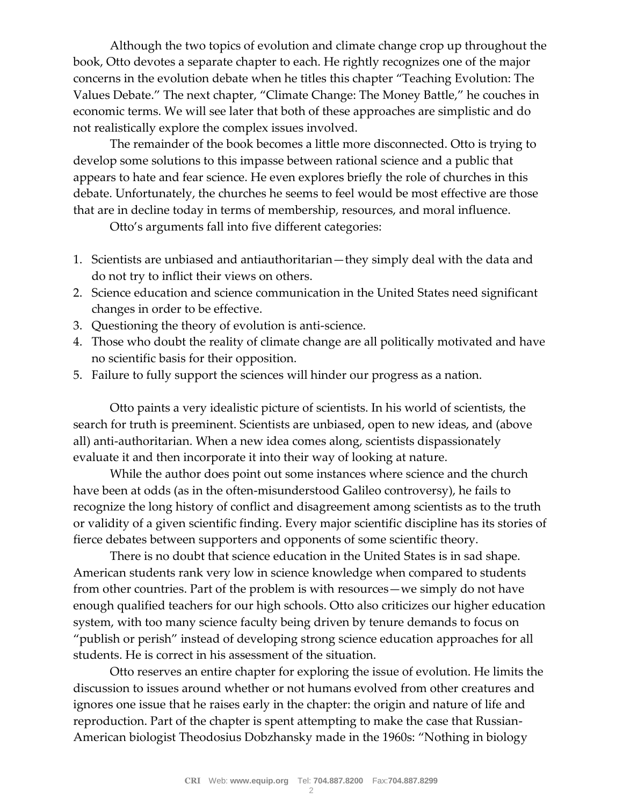Although the two topics of evolution and climate change crop up throughout the book, Otto devotes a separate chapter to each. He rightly recognizes one of the major concerns in the evolution debate when he titles this chapter "Teaching Evolution: The Values Debate." The next chapter, "Climate Change: The Money Battle," he couches in economic terms. We will see later that both of these approaches are simplistic and do not realistically explore the complex issues involved.

The remainder of the book becomes a little more disconnected. Otto is trying to develop some solutions to this impasse between rational science and a public that appears to hate and fear science. He even explores briefly the role of churches in this debate. Unfortunately, the churches he seems to feel would be most effective are those that are in decline today in terms of membership, resources, and moral influence.

Otto's arguments fall into five different categories:

- 1. Scientists are unbiased and antiauthoritarian—they simply deal with the data and do not try to inflict their views on others.
- 2. Science education and science communication in the United States need significant changes in order to be effective.
- 3. Questioning the theory of evolution is anti-science.
- 4. Those who doubt the reality of climate change are all politically motivated and have no scientific basis for their opposition.
- 5. Failure to fully support the sciences will hinder our progress as a nation.

Otto paints a very idealistic picture of scientists. In his world of scientists, the search for truth is preeminent. Scientists are unbiased, open to new ideas, and (above all) anti-authoritarian. When a new idea comes along, scientists dispassionately evaluate it and then incorporate it into their way of looking at nature.

While the author does point out some instances where science and the church have been at odds (as in the often-misunderstood Galileo controversy), he fails to recognize the long history of conflict and disagreement among scientists as to the truth or validity of a given scientific finding. Every major scientific discipline has its stories of fierce debates between supporters and opponents of some scientific theory.

There is no doubt that science education in the United States is in sad shape. American students rank very low in science knowledge when compared to students from other countries. Part of the problem is with resources—we simply do not have enough qualified teachers for our high schools. Otto also criticizes our higher education system, with too many science faculty being driven by tenure demands to focus on "publish or perish" instead of developing strong science education approaches for all students. He is correct in his assessment of the situation.

Otto reserves an entire chapter for exploring the issue of evolution. He limits the discussion to issues around whether or not humans evolved from other creatures and ignores one issue that he raises early in the chapter: the origin and nature of life and reproduction. Part of the chapter is spent attempting to make the case that Russian-American biologist Theodosius Dobzhansky made in the 1960s: "Nothing in biology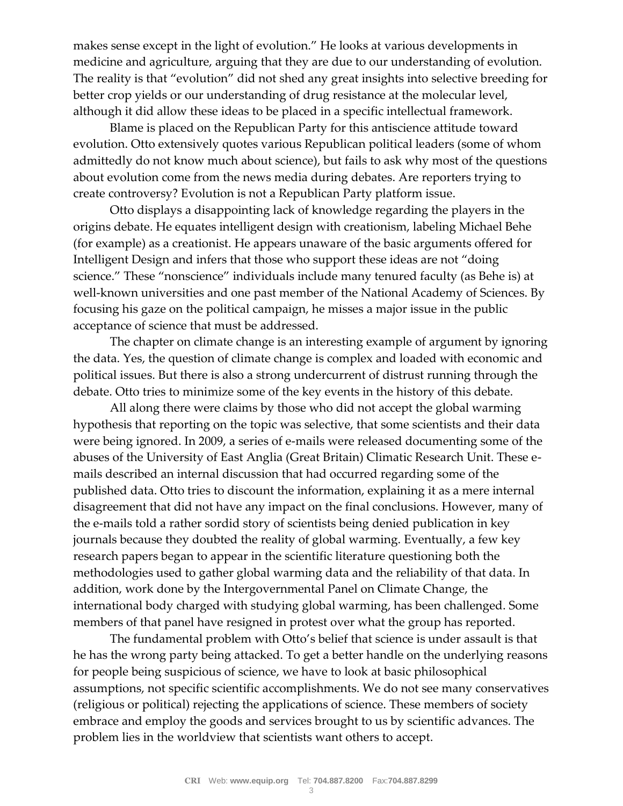makes sense except in the light of evolution." He looks at various developments in medicine and agriculture, arguing that they are due to our understanding of evolution. The reality is that "evolution" did not shed any great insights into selective breeding for better crop yields or our understanding of drug resistance at the molecular level, although it did allow these ideas to be placed in a specific intellectual framework.

Blame is placed on the Republican Party for this antiscience attitude toward evolution. Otto extensively quotes various Republican political leaders (some of whom admittedly do not know much about science), but fails to ask why most of the questions about evolution come from the news media during debates. Are reporters trying to create controversy? Evolution is not a Republican Party platform issue.

Otto displays a disappointing lack of knowledge regarding the players in the origins debate. He equates intelligent design with creationism, labeling Michael Behe (for example) as a creationist. He appears unaware of the basic arguments offered for Intelligent Design and infers that those who support these ideas are not "doing science." These "nonscience" individuals include many tenured faculty (as Behe is) at well-known universities and one past member of the National Academy of Sciences. By focusing his gaze on the political campaign, he misses a major issue in the public acceptance of science that must be addressed.

The chapter on climate change is an interesting example of argument by ignoring the data. Yes, the question of climate change is complex and loaded with economic and political issues. But there is also a strong undercurrent of distrust running through the debate. Otto tries to minimize some of the key events in the history of this debate.

All along there were claims by those who did not accept the global warming hypothesis that reporting on the topic was selective, that some scientists and their data were being ignored. In 2009, a series of e-mails were released documenting some of the abuses of the University of East Anglia (Great Britain) Climatic Research Unit. These emails described an internal discussion that had occurred regarding some of the published data. Otto tries to discount the information, explaining it as a mere internal disagreement that did not have any impact on the final conclusions. However, many of the e-mails told a rather sordid story of scientists being denied publication in key journals because they doubted the reality of global warming. Eventually, a few key research papers began to appear in the scientific literature questioning both the methodologies used to gather global warming data and the reliability of that data. In addition, work done by the Intergovernmental Panel on Climate Change, the international body charged with studying global warming, has been challenged. Some members of that panel have resigned in protest over what the group has reported.

The fundamental problem with Otto's belief that science is under assault is that he has the wrong party being attacked. To get a better handle on the underlying reasons for people being suspicious of science, we have to look at basic philosophical assumptions, not specific scientific accomplishments. We do not see many conservatives (religious or political) rejecting the applications of science. These members of society embrace and employ the goods and services brought to us by scientific advances. The problem lies in the worldview that scientists want others to accept.